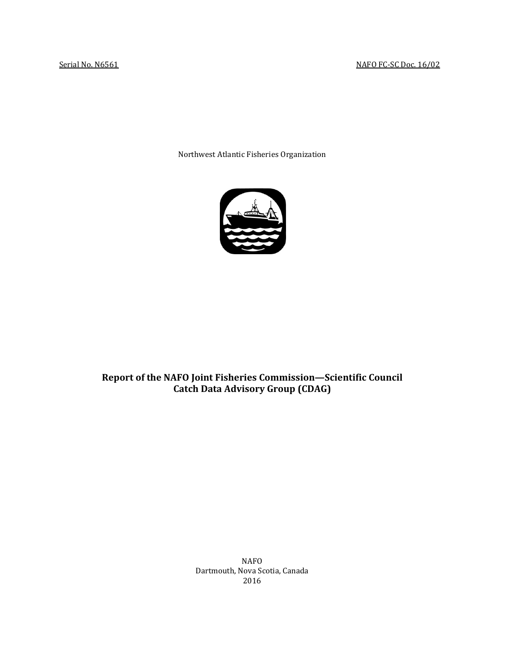Northwest Atlantic Fisheries Organization



## **Report of the NAFO Joint Fisheries Commission—Scientific Council Catch Data Advisory Group (CDAG)**

NAFO Dartmouth, Nova Scotia, Canada 2016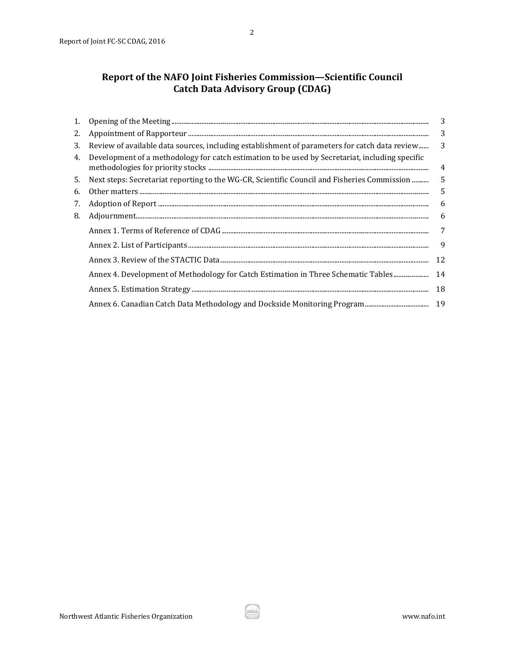| 1. |                                                                                                 | 3  |
|----|-------------------------------------------------------------------------------------------------|----|
| 2. |                                                                                                 | 3  |
| 3. | Review of available data sources, including establishment of parameters for catch data review   | 3  |
| 4. | Development of a methodology for catch estimation to be used by Secretariat, including specific | 4  |
| 5. | Next steps: Secretariat reporting to the WG-CR, Scientific Council and Fisheries Commission     | 5  |
| 6. |                                                                                                 | 5  |
| 7. |                                                                                                 | 6  |
| 8. |                                                                                                 | 6  |
|    |                                                                                                 | 7  |
|    |                                                                                                 | 9  |
|    |                                                                                                 | 12 |
|    | Annex 4. Development of Methodology for Catch Estimation in Three Schematic Tables              | 14 |
|    |                                                                                                 | 18 |
|    |                                                                                                 |    |

المف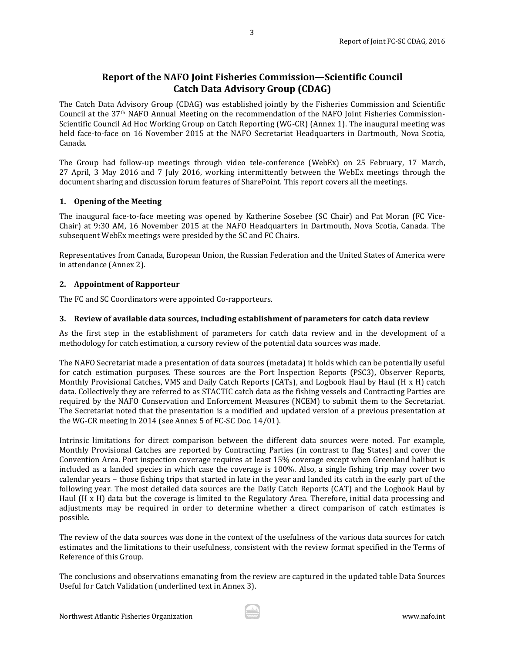## **Report of the NAFO Joint Fisheries Commission—Scientific Council Catch Data Advisory Group (CDAG)**

3

The Catch Data Advisory Group (CDAG) was established jointly by the Fisheries Commission and Scientific Council at the 37th NAFO Annual Meeting on the recommendation of the NAFO Joint Fisheries Commission-Scientific Council Ad Hoc Working Group on Catch Reporting (WG-CR) (Annex 1). The inaugural meeting was held face-to-face on 16 November 2015 at the NAFO Secretariat Headquarters in Dartmouth, Nova Scotia, Canada.

The Group had follow-up meetings through video tele-conference (WebEx) on 25 February, 17 March, 27 April, 3 May 2016 and 7 July 2016, working intermittently between the WebEx meetings through the document sharing and discussion forum features of SharePoint. This report covers all the meetings.

### <span id="page-2-0"></span>**1. Opening of the Meeting**

The inaugural face-to-face meeting was opened by Katherine Sosebee (SC Chair) and Pat Moran (FC Vice-Chair) at 9:30 AM, 16 November 2015 at the NAFO Headquarters in Dartmouth, Nova Scotia, Canada. The subsequent WebEx meetings were presided by the SC and FC Chairs.

Representatives from Canada, European Union, the Russian Federation and the United States of America were in attendance (Annex 2).

### <span id="page-2-1"></span>**2. Appointment of Rapporteur**

The FC and SC Coordinators were appointed Co-rapporteurs.

### <span id="page-2-2"></span>**3. Review of available data sources, including establishment of parameters for catch data review**

As the first step in the establishment of parameters for catch data review and in the development of a methodology for catch estimation, a cursory review of the potential data sources was made.

The NAFO Secretariat made a presentation of data sources (metadata) it holds which can be potentially useful for catch estimation purposes. These sources are the Port Inspection Reports (PSC3), Observer Reports, Monthly Provisional Catches, VMS and Daily Catch Reports (CATs), and Logbook Haul by Haul (H x H) catch data. Collectively they are referred to as STACTIC catch data as the fishing vessels and Contracting Parties are required by the NAFO Conservation and Enforcement Measures (NCEM) to submit them to the Secretariat. The Secretariat noted that the presentation is a modified and updated version of a previous presentation at the WG-CR meeting in 2014 (see Annex 5 of FC-SC Doc. 14/01).

Intrinsic limitations for direct comparison between the different data sources were noted. For example, Monthly Provisional Catches are reported by Contracting Parties (in contrast to flag States) and cover the Convention Area. Port inspection coverage requires at least 15% coverage except when Greenland halibut is included as a landed species in which case the coverage is 100%. Also, a single fishing trip may cover two calendar years – those fishing trips that started in late in the year and landed its catch in the early part of the following year. The most detailed data sources are the Daily Catch Reports (CAT) and the Logbook Haul by Haul (H x H) data but the coverage is limited to the Regulatory Area. Therefore, initial data processing and adjustments may be required in order to determine whether a direct comparison of catch estimates is possible.

The review of the data sources was done in the context of the usefulness of the various data sources for catch estimates and the limitations to their usefulness, consistent with the review format specified in the Terms of Reference of this Group.

The conclusions and observations emanating from the review are captured in the updated table Data Sources Useful for Catch Validation (underlined text in Annex 3).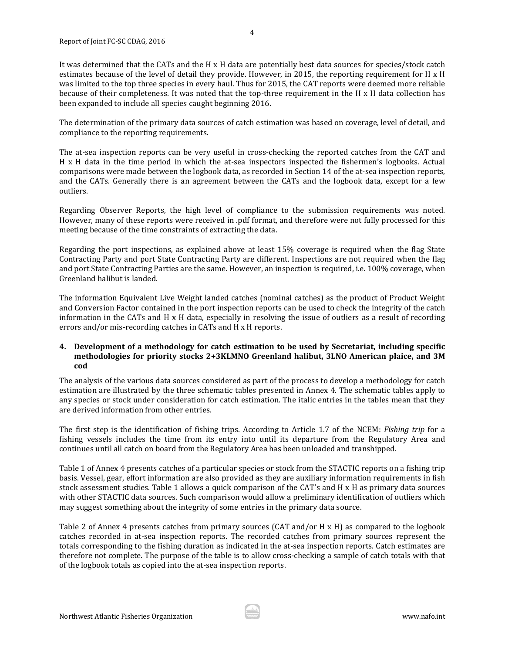It was determined that the CATs and the H x H data are potentially best data sources for species/stock catch estimates because of the level of detail they provide. However, in 2015, the reporting requirement for H x H was limited to the top three species in every haul. Thus for 2015, the CAT reports were deemed more reliable because of their completeness. It was noted that the top-three requirement in the H x H data collection has been expanded to include all species caught beginning 2016.

The determination of the primary data sources of catch estimation was based on coverage, level of detail, and compliance to the reporting requirements.

The at-sea inspection reports can be very useful in cross-checking the reported catches from the CAT and H x H data in the time period in which the at-sea inspectors inspected the fishermen's logbooks. Actual comparisons were made between the logbook data, as recorded in Section 14 of the at-sea inspection reports, and the CATs. Generally there is an agreement between the CATs and the logbook data, except for a few outliers.

Regarding Observer Reports, the high level of compliance to the submission requirements was noted. However, many of these reports were received in .pdf format, and therefore were not fully processed for this meeting because of the time constraints of extracting the data.

Regarding the port inspections, as explained above at least 15% coverage is required when the flag State Contracting Party and port State Contracting Party are different. Inspections are not required when the flag and port State Contracting Parties are the same. However, an inspection is required, i.e. 100% coverage, when Greenland halibut is landed.

The information Equivalent Live Weight landed catches (nominal catches) as the product of Product Weight and Conversion Factor contained in the port inspection reports can be used to check the integrity of the catch information in the CATs and H x H data, especially in resolving the issue of outliers as a result of recording errors and/or mis-recording catches in CATs and H x H reports.

### <span id="page-3-0"></span>**4. Development of a methodology for catch estimation to be used by Secretariat, including specific methodologies for priority stocks 2+3KLMNO Greenland halibut, 3LNO American plaice, and 3M cod**

The analysis of the various data sources considered as part of the process to develop a methodology for catch estimation are illustrated by the three schematic tables presented in Annex 4. The schematic tables apply to any species or stock under consideration for catch estimation. The italic entries in the tables mean that they are derived information from other entries.

The first step is the identification of fishing trips. According to Article 1.7 of the NCEM: *Fishing trip* for a fishing vessels includes the time from its entry into until its departure from the Regulatory Area and continues until all catch on board from the Regulatory Area has been unloaded and transhipped.

Table 1 of Annex 4 presents catches of a particular species or stock from the STACTIC reports on a fishing trip basis. Vessel, gear, effort information are also provided as they are auxiliary information requirements in fish stock assessment studies. Table 1 allows a quick comparison of the CAT's and H x H as primary data sources with other STACTIC data sources. Such comparison would allow a preliminary identification of outliers which may suggest something about the integrity of some entries in the primary data source.

Table 2 of Annex 4 presents catches from primary sources (CAT and/or H x H) as compared to the logbook catches recorded in at-sea inspection reports. The recorded catches from primary sources represent the totals corresponding to the fishing duration as indicated in the at-sea inspection reports. Catch estimates are therefore not complete. The purpose of the table is to allow cross-checking a sample of catch totals with that of the logbook totals as copied into the at-sea inspection reports.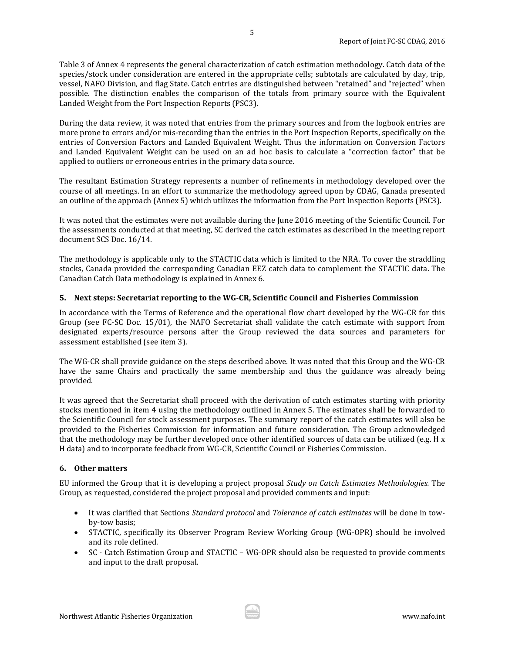Table 3 of Annex 4 represents the general characterization of catch estimation methodology. Catch data of the species/stock under consideration are entered in the appropriate cells; subtotals are calculated by day, trip, vessel, NAFO Division, and flag State. Catch entries are distinguished between "retained" and "rejected" when possible. The distinction enables the comparison of the totals from primary source with the Equivalent Landed Weight from the Port Inspection Reports (PSC3).

During the data review, it was noted that entries from the primary sources and from the logbook entries are more prone to errors and/or mis-recording than the entries in the Port Inspection Reports, specifically on the entries of Conversion Factors and Landed Equivalent Weight. Thus the information on Conversion Factors and Landed Equivalent Weight can be used on an ad hoc basis to calculate a "correction factor" that be applied to outliers or erroneous entries in the primary data source.

The resultant Estimation Strategy represents a number of refinements in methodology developed over the course of all meetings. In an effort to summarize the methodology agreed upon by CDAG, Canada presented an outline of the approach (Annex 5) which utilizes the information from the Port Inspection Reports (PSC3).

It was noted that the estimates were not available during the June 2016 meeting of the Scientific Council. For the assessments conducted at that meeting, SC derived the catch estimates as described in the meeting report document SCS Doc. 16/14.

The methodology is applicable only to the STACTIC data which is limited to the NRA. To cover the straddling stocks, Canada provided the corresponding Canadian EEZ catch data to complement the STACTIC data. The Canadian Catch Data methodology is explained in Annex 6.

### <span id="page-4-0"></span>**5. Next steps: Secretariat reporting to the WG-CR, Scientific Council and Fisheries Commission**

In accordance with the Terms of Reference and the operational flow chart developed by the WG-CR for this Group (see FC-SC Doc. 15/01), the NAFO Secretariat shall validate the catch estimate with support from designated experts/resource persons after the Group reviewed the data sources and parameters for assessment established (see item 3).

The WG-CR shall provide guidance on the steps described above. It was noted that this Group and the WG-CR have the same Chairs and practically the same membership and thus the guidance was already being provided.

It was agreed that the Secretariat shall proceed with the derivation of catch estimates starting with priority stocks mentioned in item 4 using the methodology outlined in Annex 5. The estimates shall be forwarded to the Scientific Council for stock assessment purposes. The summary report of the catch estimates will also be provided to the Fisheries Commission for information and future consideration. The Group acknowledged that the methodology may be further developed once other identified sources of data can be utilized (e.g. H x H data) and to incorporate feedback from WG-CR, Scientific Council or Fisheries Commission.

### <span id="page-4-1"></span>**6. Other matters**

EU informed the Group that it is developing a project proposal *Study on Catch Estimates Methodologies.* The Group, as requested, considered the project proposal and provided comments and input:

- It was clarified that Sections *Standard protocol* and *Tolerance of catch estimates* will be done in towby-tow basis;
- STACTIC, specifically its Observer Program Review Working Group (WG-OPR) should be involved and its role defined.
- SC Catch Estimation Group and STACTIC WG-OPR should also be requested to provide comments and input to the draft proposal.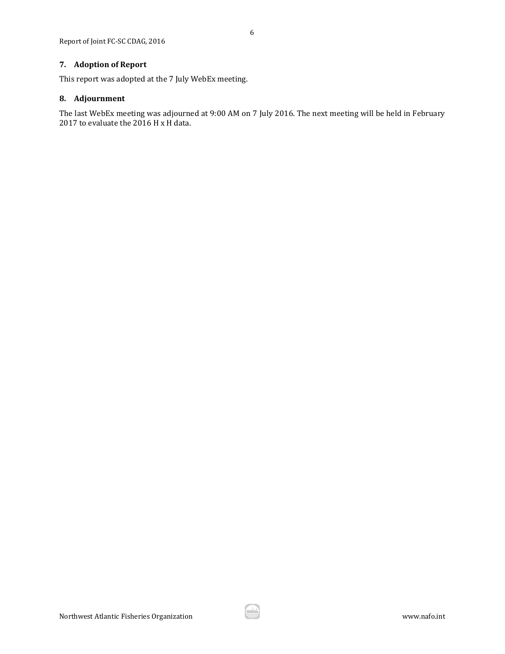### <span id="page-5-0"></span>**7. Adoption of Report**

This report was adopted at the 7 July WebEx meeting.

### <span id="page-5-1"></span>**8. Adjournment**

The last WebEx meeting was adjourned at 9:00 AM on 7 July 2016. The next meeting will be held in February 2017 to evaluate the 2016 H x H data.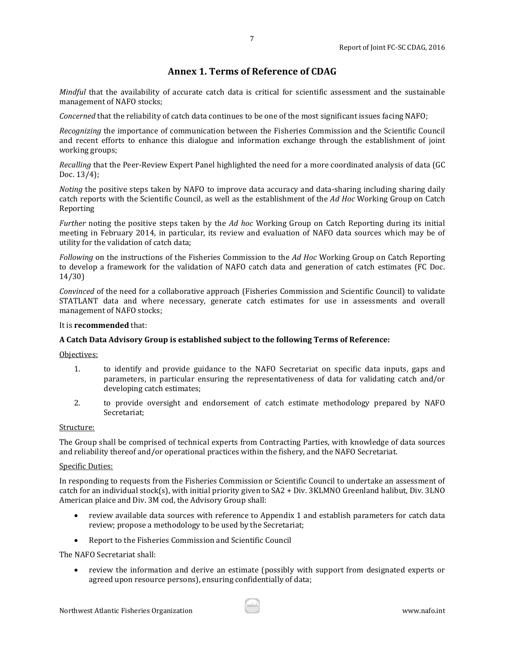## **Annex 1. Terms of Reference of CDAG**

7

<span id="page-6-0"></span>*Mindful* that the availability of accurate catch data is critical for scientific assessment and the sustainable management of NAFO stocks;

*Concerned* that the reliability of catch data continues to be one of the most significant issues facing NAFO;

*Recognizing* the importance of communication between the Fisheries Commission and the Scientific Council and recent efforts to enhance this dialogue and information exchange through the establishment of joint working groups;

*Recalling* that the Peer-Review Expert Panel highlighted the need for a more coordinated analysis of data (GC Doc. 13/4);

*Noting* the positive steps taken by NAFO to improve data accuracy and data-sharing including sharing daily catch reports with the Scientific Council, as well as the establishment of the *Ad Hoc* Working Group on Catch Reporting

*Further* noting the positive steps taken by the *Ad hoc* Working Group on Catch Reporting during its initial meeting in February 2014, in particular, its review and evaluation of NAFO data sources which may be of utility for the validation of catch data;

*Following* on the instructions of the Fisheries Commission to the *Ad Hoc* Working Group on Catch Reporting to develop a framework for the validation of NAFO catch data and generation of catch estimates (FC Doc. 14/30)

*Convinced* of the need for a collaborative approach (Fisheries Commission and Scientific Council) to validate STATLANT data and where necessary, generate catch estimates for use in assessments and overall management of NAFO stocks;

### It is **recommended** that:

### **A Catch Data Advisory Group is established subject to the following Terms of Reference:**

Objectives:

- 1. to identify and provide guidance to the NAFO Secretariat on specific data inputs, gaps and parameters, in particular ensuring the representativeness of data for validating catch and/or developing catch estimates;
- 2. to provide oversight and endorsement of catch estimate methodology prepared by NAFO Secretariat;

### Structure:

The Group shall be comprised of technical experts from Contracting Parties, with knowledge of data sources and reliability thereof and/or operational practices within the fishery, and the NAFO Secretariat.

#### Specific Duties:

In responding to requests from the Fisheries Commission or Scientific Council to undertake an assessment of catch for an individual stock(s), with initial priority given to SA2 + Div. 3KLMNO Greenland halibut, Div. 3LNO American plaice and Div. 3M cod, the Advisory Group shall:

- review available data sources with reference to Appendix 1 and establish parameters for catch data review; propose a methodology to be used by the Secretariat;
- Report to the Fisheries Commission and Scientific Council

The NAFO Secretariat shall:

• review the information and derive an estimate (possibly with support from designated experts or agreed upon resource persons), ensuring confidentially of data;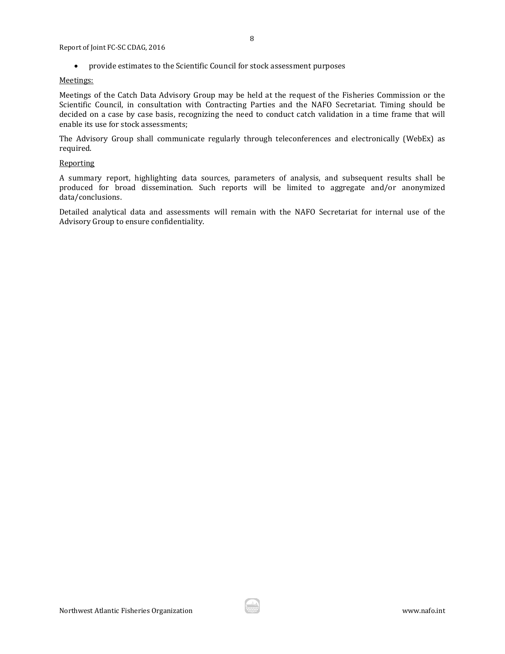• provide estimates to the Scientific Council for stock assessment purposes

#### Meetings:

Meetings of the Catch Data Advisory Group may be held at the request of the Fisheries Commission or the Scientific Council, in consultation with Contracting Parties and the NAFO Secretariat. Timing should be decided on a case by case basis, recognizing the need to conduct catch validation in a time frame that will enable its use for stock assessments;

The Advisory Group shall communicate regularly through teleconferences and electronically (WebEx) as required.

### **Reporting**

A summary report, highlighting data sources, parameters of analysis, and subsequent results shall be produced for broad dissemination. Such reports will be limited to aggregate and/or anonymized data/conclusions.

Detailed analytical data and assessments will remain with the NAFO Secretariat for internal use of the Advisory Group to ensure confidentiality.

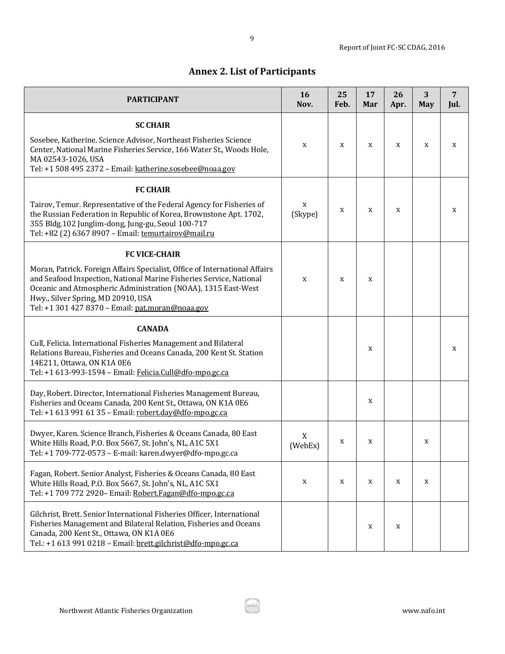# **Annex 2. List of Participants**

<span id="page-8-0"></span>

| <b>PARTICIPANT</b>                                                                                                                                                                                                                                                                                                                    | 16<br>Nov.   | 25<br>Feb. | 17<br>Mar   | 26<br>Apr. | 3<br><b>May</b> | $\overline{7}$<br>Jul. |
|---------------------------------------------------------------------------------------------------------------------------------------------------------------------------------------------------------------------------------------------------------------------------------------------------------------------------------------|--------------|------------|-------------|------------|-----------------|------------------------|
| <b>SC CHAIR</b><br>Sosebee, Katherine. Science Advisor, Northeast Fisheries Science<br>Center, National Marine Fisheries Service, 166 Water St., Woods Hole,<br>MA 02543-1026, USA<br>Tel: +1 508 495 2372 - Email: katherine.sosebee@noaa.gov                                                                                        | X            | X          | X           | X          | X               | X                      |
| <b>FC CHAIR</b><br>Tairov, Temur. Representative of the Federal Agency for Fisheries of<br>the Russian Federation in Republic of Korea, Brownstone Apt. 1702,<br>355 Bldg.102 Junglim-dong, Jung-gu, Seoul 100-717<br>Tel: +82 (2) 6367 8907 - Email: temurtairov@mail.ru                                                             | X<br>(Skype) | X          | $\mathbf X$ | X          |                 | X                      |
| <b>FC VICE-CHAIR</b><br>Moran, Patrick. Foreign Affairs Specialist, Office of International Affairs<br>and Seafood Inspection, National Marine Fisheries Service, National<br>Oceanic and Atmospheric Administration (NOAA), 1315 East-West<br>Hwy., Silver Spring, MD 20910, USA<br>Tel: +1 301 427 8370 - Email: pat.moran@noaa.gov | X            | X          | X           |            |                 |                        |
| <b>CANADA</b><br>Cull, Felicia. International Fisheries Management and Bilateral<br>Relations Bureau, Fisheries and Oceans Canada, 200 Kent St. Station<br>14E211, Ottawa, ON K1A 0E6<br>Tel: +1 613-993-1594 - Email: Felicia.Cull@dfo-mpo.gc.ca                                                                                     |              |            | X           |            |                 | X                      |
| Day, Robert. Director, International Fisheries Management Bureau,<br>Fisheries and Oceans Canada, 200 Kent St., Ottawa, ON K1A 0E6<br>Tel: +1 613 991 61 35 - Email: robert.day@dfo-mpo.gc.ca                                                                                                                                         |              |            | X           |            |                 |                        |
| Dwyer, Karen. Science Branch, Fisheries & Oceans Canada, 80 East<br>White Hills Road, P.O. Box 5667, St. John's, NL, A1C 5X1<br>Tel: +1 709-772-0573 - E-mail: karen.dwyer@dfo-mpo.gc.ca                                                                                                                                              | X<br>(WebEx) | X          | X           |            | X               |                        |
| Fagan, Robert. Senior Analyst, Fisheries & Oceans Canada, 80 East<br>White Hills Road, P.O. Box 5667, St. John's, NL, A1C 5X1<br>Tel: +1 709 772 2920- Email: Robert.Fagan@dfo-mpo.gc.ca                                                                                                                                              | X            | X          | X           | X          | X               |                        |
| Gilchrist, Brett. Senior International Fisheries Officer, International<br>Fisheries Management and Bilateral Relation, Fisheries and Oceans<br>Canada, 200 Kent St., Ottawa, ON K1A 0E6<br>Tel.: +1 613 991 0218 - Email: brett.gilchrist@dfo-mpo.gc.ca                                                                              |              |            | X           | X          |                 |                        |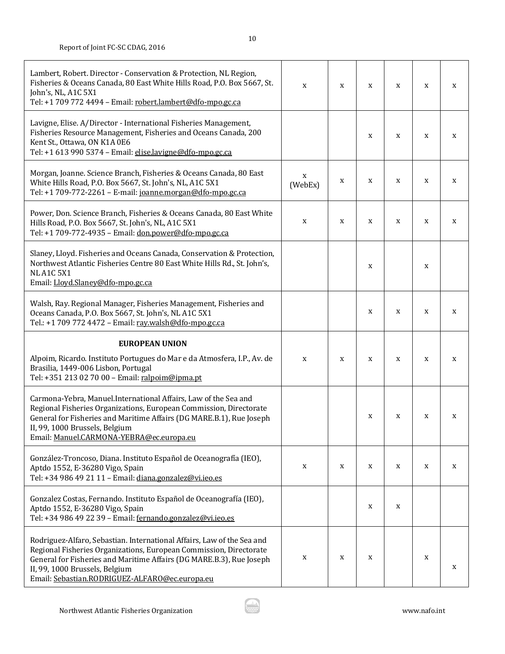| Lambert, Robert. Director - Conservation & Protection, NL Region,<br>Fisheries & Oceans Canada, 80 East White Hills Road, P.O. Box 5667, St.<br>John's, NL, A1C 5X1<br>Tel: +1 709 772 4494 - Email: robert.lambert@dfo-mpo.gc.ca                                                           | X            | X | X | X | X | X |
|---------------------------------------------------------------------------------------------------------------------------------------------------------------------------------------------------------------------------------------------------------------------------------------------|--------------|---|---|---|---|---|
| Lavigne, Elise. A/Director - International Fisheries Management,<br>Fisheries Resource Management, Fisheries and Oceans Canada, 200<br>Kent St., Ottawa, ON K1A 0E6<br>Tel: +1 613 990 5374 - Email: elise.lavigne@dfo-mpo.gc.ca                                                            |              |   | X | X | X | X |
| Morgan, Joanne. Science Branch, Fisheries & Oceans Canada, 80 East<br>White Hills Road, P.O. Box 5667, St. John's, NL, A1C 5X1<br>Tel: +1 709-772-2261 - E-mail: joanne.morgan@dfo-mpo.gc.ca                                                                                                | X<br>(WebEx) | X | X | X | X | X |
| Power, Don. Science Branch, Fisheries & Oceans Canada, 80 East White<br>Hills Road, P.O. Box 5667, St. John's, NL, A1C 5X1<br>Tel: +1 709-772-4935 - Email: don.power@dfo-mpo.gc.ca                                                                                                         | X            | X | X | X | X | X |
| Slaney, Lloyd. Fisheries and Oceans Canada, Conservation & Protection,<br>Northwest Atlantic Fisheries Centre 80 East White Hills Rd., St. John's,<br><b>NL A1C 5X1</b><br>Email: Lloyd.Slaney@dfo-mpo.gc.ca                                                                                |              |   | X |   | X |   |
| Walsh, Ray. Regional Manager, Fisheries Management, Fisheries and<br>Oceans Canada, P.O. Box 5667, St. John's, NL A1C 5X1<br>Tel.: +1 709 772 4472 - Email: ray.walsh@dfo-mpo.gc.ca                                                                                                         |              |   | X | X | X | X |
| <b>EUROPEAN UNION</b>                                                                                                                                                                                                                                                                       |              |   |   |   |   |   |
| Alpoim, Ricardo. Instituto Portugues do Mar e da Atmosfera, I.P., Av. de<br>Brasilia, 1449-006 Lisbon, Portugal<br>Tel: +351 213 02 70 00 - Email: ralpoim@ipma.pt                                                                                                                          | X            | X | X | X | X | X |
| Carmona-Yebra, Manuel.International Affairs, Law of the Sea and<br>Regional Fisheries Organizations, European Commission, Directorate<br>General for Fisheries and Maritime Affairs (DG MARE.B.1), Rue Joseph<br>II, 99, 1000 Brussels, Belgium<br>Email: Manuel.CARMONA-YEBRA@ec.europa.eu |              |   | X | X | X | X |
| González-Troncoso, Diana. Instituto Español de Oceanografía (IEO),<br>Aptdo 1552, E-36280 Vigo, Spain<br>Tel: +34 986 49 21 11 - Email: diana.gonzalez@vi.ieo.es                                                                                                                            | X            | X | X | X | X | X |
| Gonzalez Costas, Fernando. Instituto Español de Oceanografía (IEO),<br>Aptdo 1552, E-36280 Vigo, Spain                                                                                                                                                                                      |              |   | X | X |   |   |
| Tel: +34 986 49 22 39 - Email: fernando.gonzalez@vi.ieo.es                                                                                                                                                                                                                                  |              |   |   |   |   |   |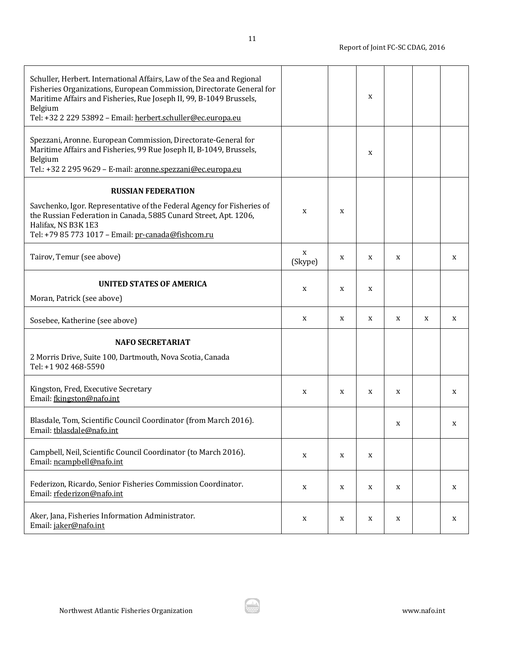| Schuller, Herbert. International Affairs, Law of the Sea and Regional<br>Fisheries Organizations, European Commission, Directorate General for<br>Maritime Affairs and Fisheries, Rue Joseph II, 99, B-1049 Brussels,<br>Belgium<br>Tel: +32 2 229 53892 - Email: herbert.schuller@ec.europa.eu |              |   | $\mathbf X$ |   |   |   |
|-------------------------------------------------------------------------------------------------------------------------------------------------------------------------------------------------------------------------------------------------------------------------------------------------|--------------|---|-------------|---|---|---|
| Spezzani, Aronne. European Commission, Directorate-General for<br>Maritime Affairs and Fisheries, 99 Rue Joseph II, B-1049, Brussels,<br>Belgium<br>Tel.: +32 2 295 9629 - E-mail: aronne.spezzani@ec.europa.eu                                                                                 |              |   | $\mathbf X$ |   |   |   |
| <b>RUSSIAN FEDERATION</b>                                                                                                                                                                                                                                                                       |              |   |             |   |   |   |
| Savchenko, Igor. Representative of the Federal Agency for Fisheries of<br>the Russian Federation in Canada, 5885 Cunard Street, Apt. 1206,<br>Halifax, NS B3K 1E3<br>Tel: +79 85 773 1017 - Email: pr-canada@fishcom.ru                                                                         | X            | X |             |   |   |   |
| Tairov, Temur (see above)                                                                                                                                                                                                                                                                       | X<br>(Skype) | X | X           | X |   | X |
| <b>UNITED STATES OF AMERICA</b><br>Moran, Patrick (see above)                                                                                                                                                                                                                                   | X            | X | X           |   |   |   |
| Sosebee, Katherine (see above)                                                                                                                                                                                                                                                                  | X            | X | X           | X | X | X |
| <b>NAFO SECRETARIAT</b><br>2 Morris Drive, Suite 100, Dartmouth, Nova Scotia, Canada<br>Tel: +1 902 468-5590                                                                                                                                                                                    |              |   |             |   |   |   |
| Kingston, Fred, Executive Secretary<br>Email: fkingston@nafo.int                                                                                                                                                                                                                                | X            | X | X           | X |   | X |
| Blasdale, Tom, Scientific Council Coordinator (from March 2016).<br>Email: tblasdale@nafo.int                                                                                                                                                                                                   |              |   |             | X |   | X |
| Campbell, Neil, Scientific Council Coordinator (to March 2016).<br>Email: ncampbell@nafo.int                                                                                                                                                                                                    | X            | X | X           |   |   |   |
| Federizon, Ricardo, Senior Fisheries Commission Coordinator.<br>Email: rfederizon@nafo.int                                                                                                                                                                                                      | X            | X | X           | X |   | X |
| Aker, Jana, Fisheries Information Administrator.<br>Email: jaker@nafo.int                                                                                                                                                                                                                       | X            | X | X           | X |   | X |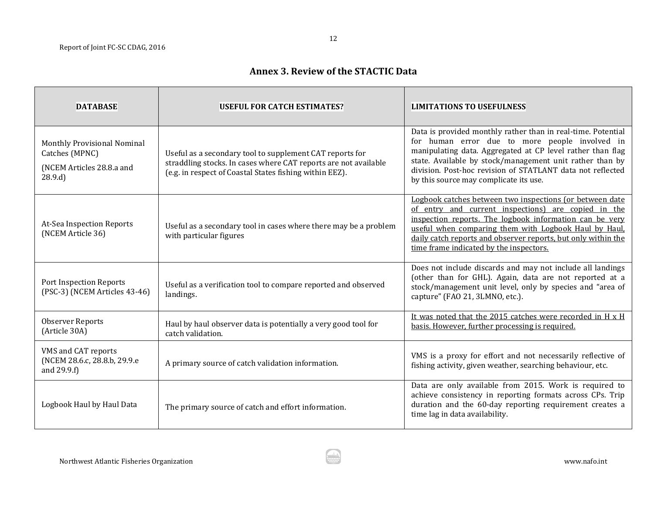## **Annex 3. Review of the STACTIC Data**

<span id="page-11-0"></span>

| <b>DATABASE</b>                                                                      | <b>USEFUL FOR CATCH ESTIMATES?</b>                                                                                                                                                     | <b>LIMITATIONS TO USEFULNESS</b>                                                                                                                                                                                                                                                                                                                 |
|--------------------------------------------------------------------------------------|----------------------------------------------------------------------------------------------------------------------------------------------------------------------------------------|--------------------------------------------------------------------------------------------------------------------------------------------------------------------------------------------------------------------------------------------------------------------------------------------------------------------------------------------------|
| Monthly Provisional Nominal<br>Catches (MPNC)<br>(NCEM Articles 28.8.a and<br>28.9.d | Useful as a secondary tool to supplement CAT reports for<br>straddling stocks. In cases where CAT reports are not available<br>(e.g. in respect of Coastal States fishing within EEZ). | Data is provided monthly rather than in real-time. Potential<br>for human error due to more people involved in<br>manipulating data. Aggregated at CP level rather than flag<br>state. Available by stock/management unit rather than by<br>division. Post-hoc revision of STATLANT data not reflected<br>by this source may complicate its use. |
| At-Sea Inspection Reports<br>(NCEM Article 36)                                       | Useful as a secondary tool in cases where there may be a problem<br>with particular figures                                                                                            | Logbook catches between two inspections (or between date<br>of entry and current inspections) are copied in the<br>inspection reports. The logbook information can be very<br>useful when comparing them with Logbook Haul by Haul,<br>daily catch reports and observer reports, but only within the<br>time frame indicated by the inspectors.  |
| Port Inspection Reports<br>(PSC-3) (NCEM Articles 43-46)                             | Useful as a verification tool to compare reported and observed<br>landings.                                                                                                            | Does not include discards and may not include all landings<br>(other than for GHL). Again, data are not reported at a<br>stock/management unit level, only by species and "area of<br>capture" (FAO 21, 3LMNO, etc.).                                                                                                                            |
| <b>Observer Reports</b><br>(Article 30A)                                             | Haul by haul observer data is potentially a very good tool for<br>catch validation.                                                                                                    | It was noted that the 2015 catches were recorded in H x H<br>basis. However, further processing is required.                                                                                                                                                                                                                                     |
| VMS and CAT reports<br>(NCEM 28.6.c, 28.8.b, 29.9.e<br>and 29.9.f)                   | A primary source of catch validation information.                                                                                                                                      | VMS is a proxy for effort and not necessarily reflective of<br>fishing activity, given weather, searching behaviour, etc.                                                                                                                                                                                                                        |
| Logbook Haul by Haul Data                                                            | The primary source of catch and effort information.                                                                                                                                    | Data are only available from 2015. Work is required to<br>achieve consistency in reporting formats across CPs. Trip<br>duration and the 60-day reporting requirement creates a<br>time lag in data availability.                                                                                                                                 |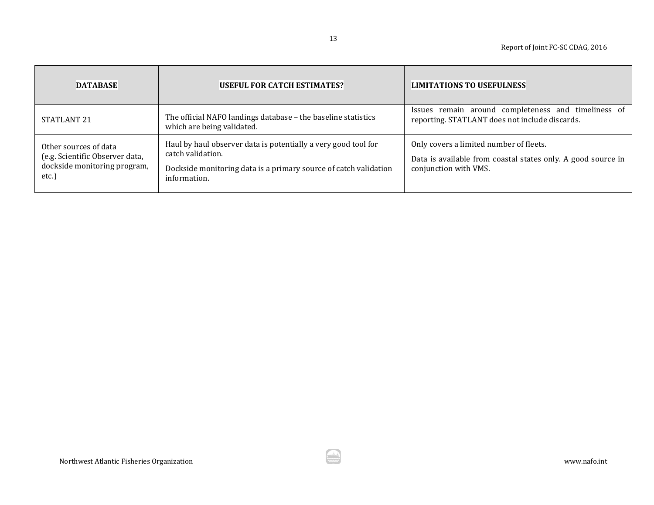| <b>DATABASE</b>                                                                                  | <b>USEFUL FOR CATCH ESTIMATES?</b>                                                                                                                                      | <b>LIMITATIONS TO USEFULNESS</b>                                                                                                 |
|--------------------------------------------------------------------------------------------------|-------------------------------------------------------------------------------------------------------------------------------------------------------------------------|----------------------------------------------------------------------------------------------------------------------------------|
| STATLANT <sub>21</sub>                                                                           | The official NAFO landings database - the baseline statistics<br>which are being validated.                                                                             | remain around completeness and timeliness of<br>Issues<br>reporting. STATLANT does not include discards.                         |
| Other sources of data<br>(e.g. Scientific Observer data,<br>dockside monitoring program,<br>etc. | Haul by haul observer data is potentially a very good tool for<br>catch validation.<br>Dockside monitoring data is a primary source of catch validation<br>information. | Only covers a limited number of fleets.<br>Data is available from coastal states only. A good source in<br>conjunction with VMS. |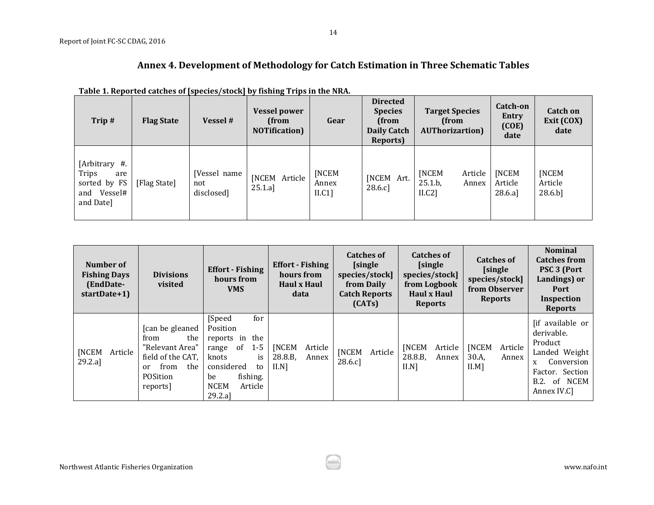## **Annex 4. Development of Methodology for Catch Estimation in Three Schematic Tables**

| Trip#                                                                     | <b>Flag State</b> | Vessel #                          | . .<br><b>Vessel power</b><br>(from<br><b>NOTification</b> ) | Gear                            | <b>Directed</b><br><b>Species</b><br>(from<br><b>Daily Catch</b><br>Reports) | <b>Target Species</b><br>(from<br><b>AUThorizartion</b> ) | Catch-on<br><b>Entry</b><br>(COE)<br>date | Catch on<br>Exit (COX)<br>date              |
|---------------------------------------------------------------------------|-------------------|-----------------------------------|--------------------------------------------------------------|---------------------------------|------------------------------------------------------------------------------|-----------------------------------------------------------|-------------------------------------------|---------------------------------------------|
| [Arbitrary #.<br>Trips<br>are<br>sorted by FS<br>and Vessel#<br>and Date] | [Flag State]      | [Vessel name<br>not<br>disclosed] | [NCEM Article<br>25.1.a]                                     | <b>INCEM</b><br>Annex<br>II.C1] | [NCEM Art.<br>28.6.c]                                                        | <b>[NCEM</b><br>Article<br>25.1.b.<br>Annex<br>II.C2]     | <b>[NCEM</b><br>Article<br>28.6.a]        | <b>[NCEM</b><br>Article<br>$28.6 \text{ b}$ |

<span id="page-13-0"></span>

| Number of<br><b>Fishing Days</b><br>(EndDate-<br>startDate+1) | <b>Divisions</b><br>visited                                                                                          | <b>Effort</b> - Fishing<br>hours from<br><b>VMS</b>                                                                                                                 | <b>Effort</b> - Fishing<br>hours from<br><b>Haul x Haul</b><br>data | <b>Catches of</b><br><b>[single</b><br>species/stock]<br>from Daily<br><b>Catch Reports</b><br>(CATS) | <b>Catches of</b><br>[single]<br>species/stock]<br>from Logbook<br>Haul x Haul<br><b>Reports</b> | <b>Catches of</b><br><b>[single</b><br>species/stock]<br>from Observer<br><b>Reports</b> | <b>Nominal</b><br><b>Catches from</b><br><b>PSC 3 (Port</b><br>Landings) or<br>Port<br>Inspection<br><b>Reports</b>                |
|---------------------------------------------------------------|----------------------------------------------------------------------------------------------------------------------|---------------------------------------------------------------------------------------------------------------------------------------------------------------------|---------------------------------------------------------------------|-------------------------------------------------------------------------------------------------------|--------------------------------------------------------------------------------------------------|------------------------------------------------------------------------------------------|------------------------------------------------------------------------------------------------------------------------------------|
| [NCEM<br>Article<br>29.2.a]                                   | [can be gleaned]<br>the<br>from<br>"Relevant Area"<br>field of the CAT,<br>from<br>the<br>or<br>POSition<br>reports] | [Speed]<br>for<br>Position<br>the<br>reports in<br>$1-5$<br>- of<br>range<br>knots<br>is<br>considered<br>to<br>fishing.<br>be<br><b>NCEM</b><br>Article<br>29.2.al | <b>[NCEM</b><br>Article<br>28.8.B,<br>Annex<br>$II.N$ ]             | <b>NCEM</b><br>Article<br>28.6 c                                                                      | <b>[NCEM</b><br>Article<br>28.8.B,<br>Annex<br>$II.N$ ]                                          | <b>[NCEM</b><br>Article<br>30.A,<br>Annex<br>$II.M$ ]                                    | [if available or<br>derivable.<br>Product<br>Landed Weight<br>Conversion<br>X<br>Factor. Section<br>of NCEM<br>B.2.<br>Annex IV.C] |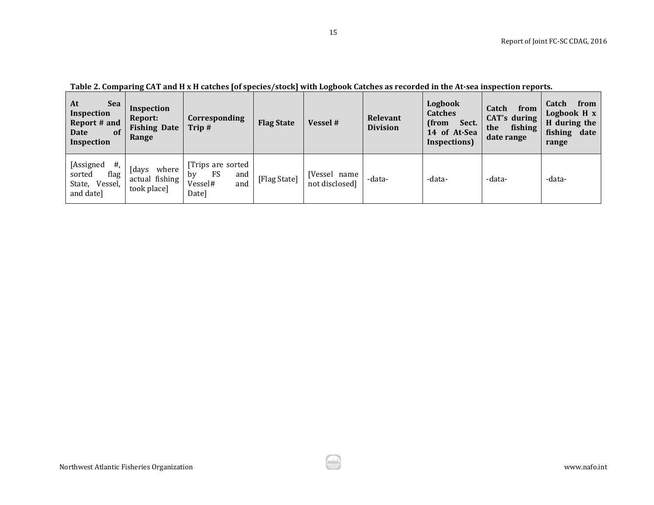| At<br><b>Sea</b><br>Inspection<br>Report # and<br>of<br>Date<br>Inspection | Inspection<br>Report:<br><b>Fishing Date</b><br>Range | Corresponding<br>Trip#                                         | <b>Flag State</b> | Vessel #                       | Relevant<br><b>Division</b> | Logbook<br><b>Catches</b><br>(from<br>Sect.<br>14 of At-Sea<br>Inspections) | Catch<br>from<br><b>CAT's during</b><br>fishing<br>the<br>date range | Catch<br>from<br>Logbook H x<br>H during the<br>fishing date<br>range |
|----------------------------------------------------------------------------|-------------------------------------------------------|----------------------------------------------------------------|-------------------|--------------------------------|-----------------------------|-----------------------------------------------------------------------------|----------------------------------------------------------------------|-----------------------------------------------------------------------|
| $#$ ,<br>[Assigned<br>flag<br>sorted<br>State, Vessel,<br>and date]        | [days<br>where<br>actual fishing<br>took place]       | Trips are sorted<br>FS<br>and<br>bv<br>Vessel#<br>and<br>Date] | [Flag State]      | [Vessel name<br>not disclosed] | -data-                      | -data-                                                                      | -data-                                                               | -data-                                                                |

ار ش.<br>مون

**Table 2. Comparing CAT and H x H catches [of species/stock] with Logbook Catches as recorded in the At-sea inspection reports.**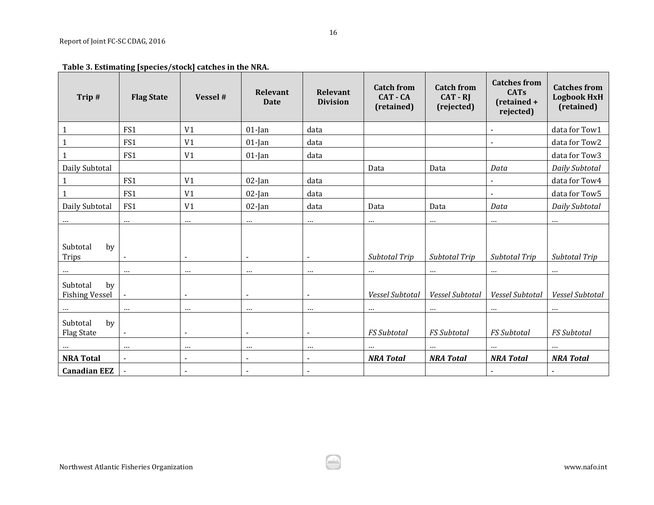## **Table 3. Estimating [species/stock] catches in the NRA.**

| Trip#                                   | <b>Flag State</b> | Vessel #                 | <b>Relevant</b><br><b>Date</b> | <b>Relevant</b><br><b>Division</b> | <b>Catch from</b><br><b>CAT - CA</b><br>(retained) | <b>Catch from</b><br>$CAT - RI$<br>(rejected) | <b>Catches from</b><br><b>CATs</b><br>(retained +<br>rejected) | <b>Catches from</b><br><b>Logbook HxH</b><br>(retained) |
|-----------------------------------------|-------------------|--------------------------|--------------------------------|------------------------------------|----------------------------------------------------|-----------------------------------------------|----------------------------------------------------------------|---------------------------------------------------------|
| $\mathbf 1$                             | FS1               | V <sub>1</sub>           | $01$ -Jan                      | data                               |                                                    |                                               |                                                                | data for Tow1                                           |
| $\mathbf{1}$                            | FS1               | V <sub>1</sub>           | $01$ -Jan                      | data                               |                                                    |                                               |                                                                | data for Tow2                                           |
| $\mathbf{1}$                            | FS1               | V <sub>1</sub>           | $01$ -Jan                      | data                               |                                                    |                                               |                                                                | data for Tow3                                           |
| Daily Subtotal                          |                   |                          |                                |                                    | Data                                               | Data                                          | Data                                                           | Daily Subtotal                                          |
| $\mathbf{1}$                            | FS1               | V <sub>1</sub>           | $02$ -Jan                      | data                               |                                                    |                                               |                                                                | data for Tow4                                           |
| $\mathbf{1}$                            | FS1               | V <sub>1</sub>           | $02$ -Jan                      | data                               |                                                    |                                               |                                                                | data for Tow5                                           |
| Daily Subtotal                          | FS1               | V <sub>1</sub>           | $02$ -Jan                      | data                               | Data                                               | Data                                          | Data                                                           | Daily Subtotal                                          |
| $\cdots$                                | $\cdots$          | $\cdots$                 | $\cdots$                       | $\cdots$                           | $\cdots$                                           | $\cdots$                                      | $\cdots$                                                       | $\cdots$                                                |
| Subtotal<br>by<br><b>Trips</b>          |                   | $\overline{\phantom{a}}$ | $\blacksquare$                 | $\blacksquare$                     | Subtotal Trip                                      | Subtotal Trip                                 | Subtotal Trip                                                  | Subtotal Trip                                           |
|                                         | $\cdots$          | $\cdots$                 | $\cdots$                       | $\cdots$                           | $\cdots$                                           | $\cdots$                                      | $\cdots$                                                       | $\cdots$                                                |
| Subtotal<br>by<br><b>Fishing Vessel</b> | $\blacksquare$    | $\sim$                   | $\blacksquare$                 | $\blacksquare$                     | Vessel Subtotal                                    | Vessel Subtotal                               | Vessel Subtotal                                                | Vessel Subtotal                                         |
| $\cdots$                                | $\cdots$          | $\cdots$                 | $\cdots$                       | $\cdots$                           | $\cdots$                                           | $\cdots$                                      | $\cdots$                                                       | $\cdots$                                                |
| Subtotal<br>by<br><b>Flag State</b>     | $\blacksquare$    | $\blacksquare$           | $\blacksquare$                 |                                    | <b>FS</b> Subtotal                                 | FS Subtotal                                   | <b>FS Subtotal</b>                                             | <b>FS</b> Subtotal                                      |
| $\cdots$                                | $\cdots$          | $\cdots$                 | $\cdots$                       | $\cdots$                           | $\cdots$                                           | $\cdots$                                      | $\cdots$                                                       | $\cdots$                                                |
| <b>NRA Total</b>                        | $\blacksquare$    | $\overline{\phantom{a}}$ | $\blacksquare$                 | $\qquad \qquad \blacksquare$       | <b>NRA Total</b>                                   | <b>NRA Total</b>                              | <b>NRA Total</b>                                               | <b>NRA Total</b>                                        |
| <b>Canadian EEZ</b>                     |                   | $\overline{\phantom{a}}$ | $\blacksquare$                 | ٠                                  |                                                    |                                               |                                                                | $\overline{\phantom{a}}$                                |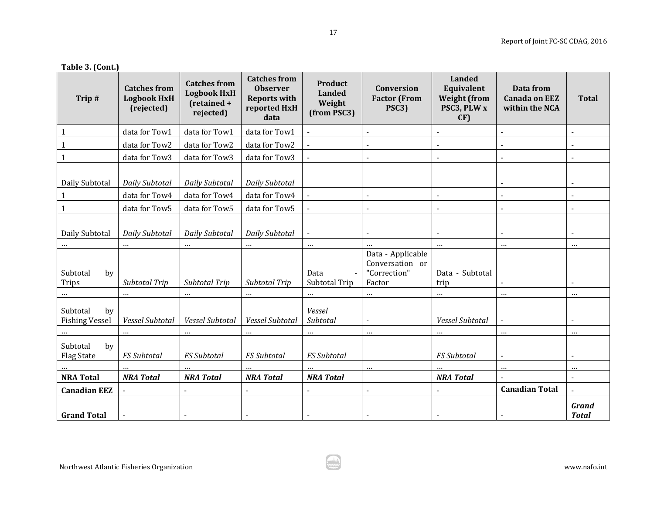### **Table 3. (Cont.)**

| Trip#                                   | <b>Catches from</b><br><b>Logbook HxH</b><br>(rejected) | <b>Catches from</b><br><b>Logbook HxH</b><br>(retained +<br>rejected) | <b>Catches from</b><br><b>Observer</b><br><b>Reports with</b><br>reported HxH<br>data | Product<br><b>Landed</b><br>Weight<br>(from PSC3) | Conversion<br><b>Factor</b> (From<br>PSC3)                     | <b>Landed</b><br>Equivalent<br><b>Weight (from</b><br>PSC3, PLW x<br>CF) | Data from<br><b>Canada on EEZ</b><br>within the NCA | <b>Total</b>                 |
|-----------------------------------------|---------------------------------------------------------|-----------------------------------------------------------------------|---------------------------------------------------------------------------------------|---------------------------------------------------|----------------------------------------------------------------|--------------------------------------------------------------------------|-----------------------------------------------------|------------------------------|
| $\mathbf{1}$                            | data for Tow1                                           | data for Tow1                                                         | data for Tow1                                                                         |                                                   |                                                                |                                                                          | L.                                                  |                              |
|                                         | data for Tow2                                           | data for Tow2                                                         | data for Tow2                                                                         | $\blacksquare$                                    |                                                                |                                                                          | $\blacksquare$                                      | $\blacksquare$               |
|                                         | data for Tow3                                           | data for Tow3                                                         | data for Tow3                                                                         |                                                   |                                                                | $\blacksquare$                                                           | $\overline{a}$                                      |                              |
| Daily Subtotal                          | Daily Subtotal                                          | Daily Subtotal                                                        | Daily Subtotal                                                                        |                                                   |                                                                |                                                                          |                                                     | $\overline{\phantom{a}}$     |
| 1                                       | data for Tow4                                           | data for Tow4                                                         | data for Tow4                                                                         |                                                   |                                                                | $\blacksquare$                                                           | $\blacksquare$                                      | $\blacksquare$               |
| $\mathbf{1}$                            | data for Tow5                                           | data for Tow5                                                         | data for Tow5                                                                         |                                                   |                                                                |                                                                          |                                                     |                              |
| Daily Subtotal                          | Daily Subtotal                                          | Daily Subtotal                                                        | Daily Subtotal                                                                        | $\blacksquare$                                    |                                                                | $\blacksquare$                                                           |                                                     |                              |
| $\cdots$                                | $\cdots$                                                |                                                                       | $\cdots$                                                                              | $\cdots$                                          | $\cdots$                                                       | $\cdots$                                                                 | $\cdots$                                            | $\cdots$                     |
| Subtotal<br>by<br><b>Trips</b>          | Subtotal Trip                                           | Subtotal Trip                                                         | Subtotal Trip                                                                         | Data<br>Subtotal Trip                             | Data - Applicable<br>Conversation or<br>"Correction"<br>Factor | Data - Subtotal<br>trip                                                  |                                                     |                              |
|                                         | $\cdots$                                                | $\cdots$                                                              | $\cdots$                                                                              | $\cdots$                                          | $\cdots$                                                       | $\cdots$                                                                 | $\cdots$                                            | $\cdots$                     |
| Subtotal<br>by<br><b>Fishing Vessel</b> | Vessel Subtotal                                         | Vessel Subtotal                                                       | Vessel Subtotal                                                                       | Vessel<br>Subtotal                                |                                                                | Vessel Subtotal                                                          | $\blacksquare$                                      |                              |
|                                         | $\cdots$                                                | $\cdots$                                                              | $\cdots$                                                                              | $\cdots$                                          | $\cdots$                                                       | $\cdots$                                                                 | $\cdots$                                            | $\cdots$                     |
| Subtotal<br>by<br><b>Flag State</b>     | FS Subtotal                                             | <b>FS</b> Subtotal                                                    | <b>FS Subtotal</b>                                                                    | <b>FS Subtotal</b>                                |                                                                | <b>FS Subtotal</b>                                                       | $\overline{a}$                                      |                              |
|                                         |                                                         | $\cdots$                                                              |                                                                                       | $\cdots$                                          | $\cdots$                                                       | $\cdots$                                                                 | $\cdots$                                            | $\cdots$                     |
| <b>NRA Total</b>                        | <b>NRA Total</b>                                        | <b>NRA Total</b>                                                      | <b>NRA Total</b>                                                                      | <b>NRA Total</b>                                  |                                                                | <b>NRA Total</b>                                                         |                                                     | $\blacksquare$               |
| <b>Canadian EEZ</b>                     | $\blacksquare$                                          | $\sim$                                                                | $\overline{a}$                                                                        | $\blacksquare$                                    |                                                                | $\blacksquare$                                                           | <b>Canadian Total</b>                               | $\overline{a}$               |
| <b>Grand Total</b>                      |                                                         |                                                                       |                                                                                       |                                                   |                                                                |                                                                          |                                                     | <b>Grand</b><br><b>Total</b> |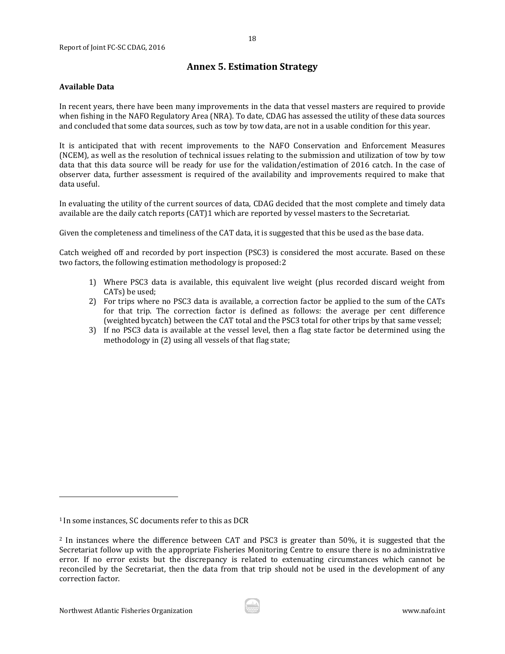### **Annex 5. Estimation Strategy**

### <span id="page-17-0"></span>**Available Data**

In recent years, there have been many improvements in the data that vessel masters are required to provide when fishing in the NAFO Regulatory Area (NRA). To date, CDAG has assessed the utility of these data sources and concluded that some data sources, such as tow by tow data, are not in a usable condition for this year.

It is anticipated that with recent improvements to the NAFO Conservation and Enforcement Measures (NCEM), as well as the resolution of technical issues relating to the submission and utilization of tow by tow data that this data source will be ready for use for the validation/estimation of 2016 catch. In the case of observer data, further assessment is required of the availability and improvements required to make that data useful.

In evaluating the utility of the current so[urc](#page-17-1)es of data, CDAG decided that the most complete and timely data available are the daily catch reports (CAT)1 which are reported by vessel masters to the Secretariat.

Given the completeness and timeliness of the CAT data, it is suggested that this be used as the base data.

Catch weighed off and recorded by port inspection (PSC3) is [co](#page-17-2)nsidered the most accurate. Based on these two factors, the following estimation methodology is proposed:2

- 1) Where PSC3 data is available, this equivalent live weight (plus recorded discard weight from CATs) be used;
- 2) For trips where no PSC3 data is available, a correction factor be applied to the sum of the CATs for that trip. The correction factor is defined as follows: the average per cent difference (weighted bycatch) between the CAT total and the PSC3 total for other trips by that same vessel;
- 3) If no PSC3 data is available at the vessel level, then a flag state factor be determined using the methodology in (2) using all vessels of that flag state;

j

<span id="page-17-1"></span><sup>1</sup> In some instances, SC documents refer to this as DCR

<span id="page-17-2"></span><sup>2</sup> In instances where the difference between CAT and PSC3 is greater than 50%, it is suggested that the Secretariat follow up with the appropriate Fisheries Monitoring Centre to ensure there is no administrative error. If no error exists but the discrepancy is related to extenuating circumstances which cannot be reconciled by the Secretariat, then the data from that trip should not be used in the development of any correction factor.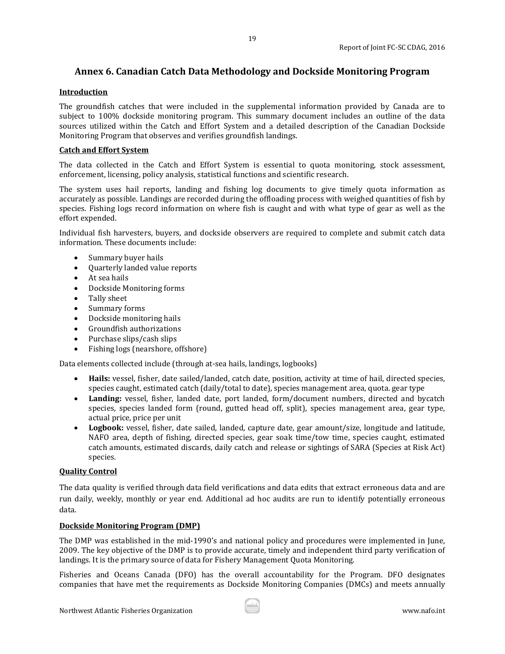## <span id="page-18-0"></span>**Annex 6. Canadian Catch Data Methodology and Dockside Monitoring Program**

19

### **Introduction**

The groundfish catches that were included in the supplemental information provided by Canada are to subject to 100% dockside monitoring program. This summary document includes an outline of the data sources utilized within the Catch and Effort System and a detailed description of the Canadian Dockside Monitoring Program that observes and verifies groundfish landings.

### **Catch and Effort System**

The data collected in the Catch and Effort System is essential to quota monitoring, stock assessment, enforcement, licensing, policy analysis, statistical functions and scientific research.

The system uses hail reports, landing and fishing log documents to give timely quota information as accurately as possible. Landings are recorded during the offloading process with weighed quantities of fish by species. Fishing logs record information on where fish is caught and with what type of gear as well as the effort expended.

Individual fish harvesters, buyers, and dockside observers are required to complete and submit catch data information. These documents include:

- Summary buyer hails
- Quarterly landed value reports
- At sea hails
- Dockside Monitoring forms<br>• Tally sheet
- Tally sheet<br>• Summary fo
- 
- Summary forms<br>• Dockside monito • Dockside monitoring hails
- Groundfish authorizations
- Purchase slips/cash slips
- Fishing logs (nearshore, offshore)

Data elements collected include (through at-sea hails, landings, logbooks)

- **Hails:** vessel, fisher, date sailed/landed, catch date, position, activity at time of hail, directed species, species caught, estimated catch (daily/total to date), species management area, quota. gear type
- **Landing:** vessel, fisher, landed date, port landed, form/document numbers, directed and bycatch species, species landed form (round, gutted head off, split), species management area, gear type, actual price, price per unit
- **Logbook:** vessel, fisher, date sailed, landed, capture date, gear amount/size, longitude and latitude, NAFO area, depth of fishing, directed species, gear soak time/tow time, species caught, estimated catch amounts, estimated discards, daily catch and release or sightings of SARA (Species at Risk Act) species.

### **Quality Control**

The data quality is verified through data field verifications and data edits that extract erroneous data and are run daily, weekly, monthly or year end. Additional ad hoc audits are run to identify potentially erroneous data.

### **Dockside Monitoring Program (DMP)**

The DMP was established in the mid-1990's and national policy and procedures were implemented in June, 2009. The key objective of the DMP is to provide accurate, timely and independent third party verification of landings. It is the primary source of data for Fishery Management Quota Monitoring.

Fisheries and Oceans Canada (DFO) has the overall accountability for the Program. DFO designates companies that have met the requirements as Dockside Monitoring Companies (DMCs) and meets annually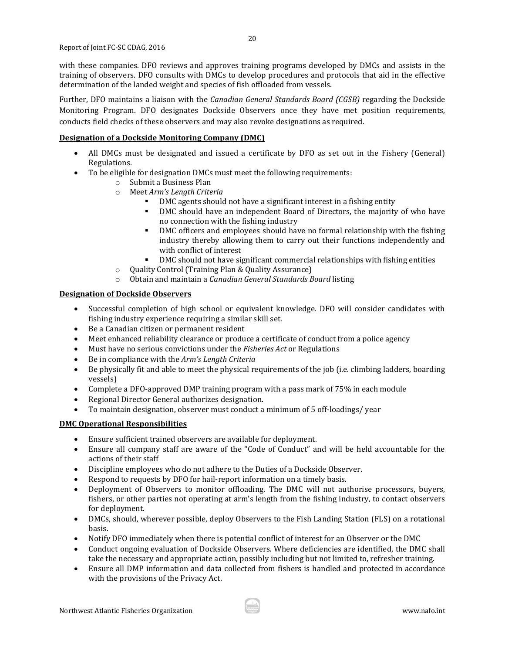with these companies. DFO reviews and approves training programs developed by DMCs and assists in the training of observers. DFO consults with DMCs to develop procedures and protocols that aid in the effective determination of the landed weight and species of fish offloaded from vessels.

Further, DFO maintains a liaison with the *Canadian General Standards Board (CGSB)* regarding the Dockside Monitoring Program. DFO designates Dockside Observers once they have met position requirements, conducts field checks of these observers and may also revoke designations as required.

### **Designation of a Dockside Monitoring Company (DMC)**

- All DMCs must be designated and issued a certificate by DFO as set out in the Fishery (General) Regulations.
- To be eligible for designation DMCs must meet the following requirements:
	- o Submit a Business Plan
	- o Meet *Arm's Length Criteria*
		- DMC agents should not have a significant interest in a fishing entity<br>■ DMC should have an independent Board of Directors, the majority
		- DMC should have an independent Board of Directors, the majority of who have no connection with the fishing industry
		- DMC officers and employees should have no formal relationship with the fishing industry thereby allowing them to carry out their functions independently and with conflict of interest
		- DMC should not have significant commercial relationships with fishing entities
	- o Quality Control (Training Plan & Quality Assurance)
	- o Obtain and maintain a *Canadian General Standards Board* listing

### **Designation of Dockside Observers**

- Successful completion of high school or equivalent knowledge. DFO will consider candidates with fishing industry experience requiring a similar skill set.
- Be a Canadian citizen or permanent resident
- Meet enhanced reliability clearance or produce a certificate of conduct from a police agency<br>• Must have no serious convictions under the *Fisheries Act* or Regulations
- Must have no serious convictions under the *Fisheries Act* or Regulations
- Be in compliance with the *Arm's Length Criteria*
- Be physically fit and able to meet the physical requirements of the job (i.e. climbing ladders, boarding vessels)
- Complete a DFO-approved DMP training program with a pass mark of 75% in each module
- Regional Director General authorizes designation.
- To maintain designation, observer must conduct a minimum of 5 off-loadings/ year

### **DMC Operational Responsibilities**

- Ensure sufficient trained observers are available for deployment.<br>• Ensure all company staff are aware of the "Code of Conduct" are
- Ensure all company staff are aware of the "Code of Conduct" and will be held accountable for the actions of their staff
- Discipline employees who do not adhere to the Duties of a Dockside Observer.
- Respond to requests by DFO for hail-report information on a timely basis.<br>• Deployment of Observers to monitor offloading. The DMC will not aut
- Deployment of Observers to monitor offloading. The DMC will not authorise processors, buyers, fishers, or other parties not operating at arm's length from the fishing industry, to contact observers for deployment.
- DMCs, should, wherever possible, deploy Observers to the Fish Landing Station (FLS) on a rotational basis.
- Notify DFO immediately when there is potential conflict of interest for an Observer or the DMC
- Conduct ongoing evaluation of Dockside Observers. Where deficiencies are identified, the DMC shall take the necessary and appropriate action, possibly including but not limited to, refresher training.
- Ensure all DMP information and data collected from fishers is handled and protected in accordance with the provisions of the Privacy Act.